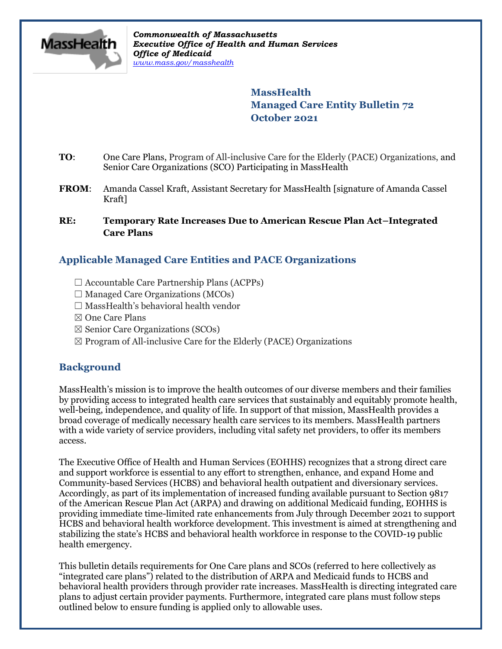

*Commonwealth of Massachusetts Executive Office of Health and Human Services Office of Medicaid [www.mass.gov/masshealth](http://www.mass.gov/masshealth)*

> **MassHealth Managed Care Entity Bulletin 72 October 2021**

- **TO**: One Care Plans, Program of All-inclusive Care for the Elderly (PACE) Organizations, and Senior Care Organizations (SCO) Participating in MassHealth
- FROM: Amanda Cassel Kraft, Assistant Secretary for MassHealth [signature of Amanda Cassel Kraft]

#### **RE: Temporary Rate Increases Due to American Rescue Plan Act–Integrated Care Plans**

# **Applicable Managed Care Entities and PACE Organizations**

- $\Box$  Accountable Care Partnership Plans (ACPPs)
- $\Box$  Managed Care Organizations (MCOs)
- $\Box$  MassHealth's behavioral health vendor
- ☒ One Care Plans
- $\boxtimes$  Senior Care Organizations (SCOs)
- $\boxtimes$  Program of All-inclusive Care for the Elderly (PACE) Organizations

## **Background**

MassHealth's mission is to improve the health outcomes of our diverse members and their families by providing access to integrated health care services that sustainably and equitably promote health, well-being, independence, and quality of life. In support of that mission, MassHealth provides a broad coverage of medically necessary health care services to its members. MassHealth partners with a wide variety of service providers, including vital safety net providers, to offer its members access.

The Executive Office of Health and Human Services (EOHHS) recognizes that a strong direct care and support workforce is essential to any effort to strengthen, enhance, and expand Home and Community-based Services (HCBS) and behavioral health outpatient and diversionary services. Accordingly, as part of its implementation of increased funding available pursuant to Section 9817 of the American Rescue Plan Act (ARPA) and drawing on additional Medicaid funding, EOHHS is providing immediate time-limited rate enhancements from July through December 2021 to support HCBS and behavioral health workforce development. This investment is aimed at strengthening and stabilizing the state's HCBS and behavioral health workforce in response to the COVID-19 public health emergency.

This bulletin details requirements for One Care plans and SCOs (referred to here collectively as "integrated care plans") related to the distribution of ARPA and Medicaid funds to HCBS and behavioral health providers through provider rate increases. MassHealth is directing integrated care plans to adjust certain provider payments. Furthermore, integrated care plans must follow steps outlined below to ensure funding is applied only to allowable uses.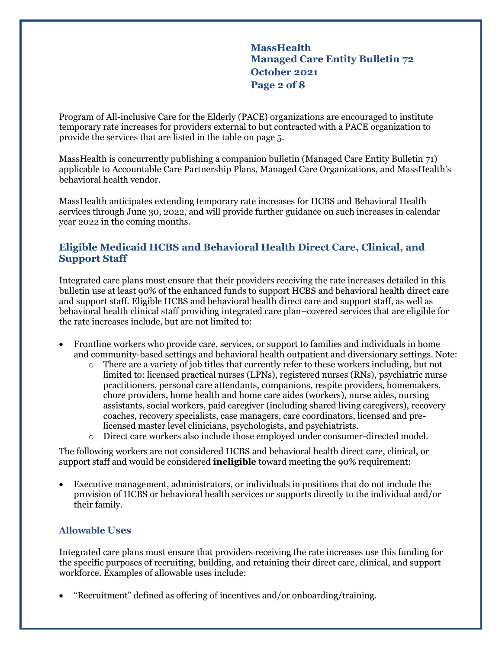**MassHealth Managed Care Entity Bulletin 72 October 2021 Page 2 of 8**

Program of All-inclusive Care for the Elderly (PACE) organizations are encouraged to institute temporary rate increases for providers external to but contracted with a PACE organization to provide the services that are listed in the table on page 5.

MassHealth is concurrently publishing a companion bulletin (Managed Care Entity Bulletin 71) applicable to Accountable Care Partnership Plans, Managed Care Organizations, and MassHealth's behavioral health vendor.

MassHealth anticipates extending temporary rate increases for HCBS and Behavioral Health services through June 30, 2022, and will provide further guidance on such increases in calendar year 2022 in the coming months.

## **Eligible Medicaid HCBS and Behavioral Health Direct Care, Clinical, and Support Staff**

Integrated care plans must ensure that their providers receiving the rate increases detailed in this bulletin use at least 90% of the enhanced funds to support HCBS and behavioral health direct care and support staff. Eligible HCBS and behavioral health direct care and support staff, as well as behavioral health clinical staff providing integrated care plan–covered services that are eligible for the rate increases include, but are not limited to:

- Frontline workers who provide care, services, or support to families and individuals in home and community-based settings and behavioral health outpatient and diversionary settings. Note:
	- o There are a variety of job titles that currently refer to these workers including, but not limited to: licensed practical nurses (LPNs), registered nurses (RNs), psychiatric nurse practitioners, personal care attendants, companions, respite providers, homemakers, chore providers, home health and home care aides (workers), nurse aides, nursing assistants, social workers, paid caregiver (including shared living caregivers), recovery coaches, recovery specialists, case managers, care coordinators, licensed and prelicensed master level clinicians, psychologists, and psychiatrists.
	- o Direct care workers also include those employed under consumer-directed model.

The following workers are not considered HCBS and behavioral health direct care, clinical, or support staff and would be considered **ineligible** toward meeting the 90% requirement:

• Executive management, administrators, or individuals in positions that do not include the provision of HCBS or behavioral health services or supports directly to the individual and/or their family.

#### **Allowable Uses**

Integrated care plans must ensure that providers receiving the rate increases use this funding for the specific purposes of recruiting, building, and retaining their direct care, clinical, and support workforce. Examples of allowable uses include:

• "Recruitment" defined as offering of incentives and/or onboarding/training.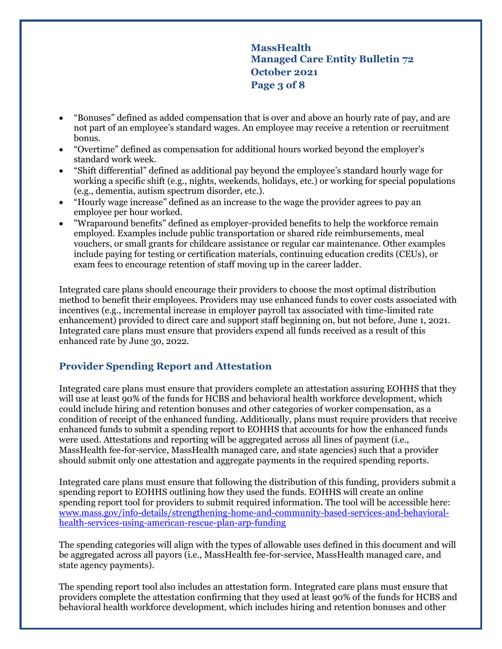**MassHealth Managed Care Entity Bulletin 72 October 2021 Page 3 of 8**

- "Bonuses" defined as added compensation that is over and above an hourly rate of pay, and are not part of an employee's standard wages. An employee may receive a retention or recruitment bonus.
- "Overtime" defined as compensation for additional hours worked beyond the employer's standard work week.
- "Shift differential" defined as additional pay beyond the employee's standard hourly wage for working a specific shift (e.g., nights, weekends, holidays, etc.) or working for special populations (e.g., dementia, autism spectrum disorder, etc.).
- "Hourly wage increase" defined as an increase to the wage the provider agrees to pay an employee per hour worked.
- "Wraparound benefits" defined as employer-provided benefits to help the workforce remain employed. Examples include public transportation or shared ride reimbursements, meal vouchers, or small grants for childcare assistance or regular car maintenance. Other examples include paying for testing or certification materials, continuing education credits (CEUs), or exam fees to encourage retention of staff moving up in the career ladder.

Integrated care plans should encourage their providers to choose the most optimal distribution method to benefit their employees. Providers may use enhanced funds to cover costs associated with incentives (e.g., incremental increase in employer payroll tax associated with time-limited rate enhancement) provided to direct care and support staff beginning on, but not before, June 1, 2021. Integrated care plans must ensure that providers expend all funds received as a result of this enhanced rate by June 30, 2022.

## **Provider Spending Report and Attestation**

Integrated care plans must ensure that providers complete an attestation assuring EOHHS that they will use at least 90% of the funds for HCBS and behavioral health workforce development, which could include hiring and retention bonuses and other categories of worker compensation, as a condition of receipt of the enhanced funding. Additionally, plans must require providers that receive enhanced funds to submit a spending report to EOHHS that accounts for how the enhanced funds were used. Attestations and reporting will be aggregated across all lines of payment (i.e., MassHealth fee-for-service, MassHealth managed care, and state agencies) such that a provider should submit only one attestation and aggregate payments in the required spending reports.

Integrated care plans must ensure that following the distribution of this funding, providers submit a spending report to EOHHS outlining how they used the funds. EOHHS will create an online spending report tool for providers to submit required information. The tool will be accessible here: [www.mass.gov/info-details/strengthening-home-and-community-based-services-and-behavioral](http://www.mass.gov/info-details/strengthening-home-and-community-based-services-and-behavioral-health-services-using-american-rescue-plan-arp-funding)[health-services-using-american-rescue-plan-arp-funding](http://www.mass.gov/info-details/strengthening-home-and-community-based-services-and-behavioral-health-services-using-american-rescue-plan-arp-funding)

The spending categories will align with the types of allowable uses defined in this document and will be aggregated across all payors (i.e., MassHealth fee-for-service, MassHealth managed care, and state agency payments).

The spending report tool also includes an attestation form. Integrated care plans must ensure that providers complete the attestation confirming that they used at least 90% of the funds for HCBS and behavioral health workforce development, which includes hiring and retention bonuses and other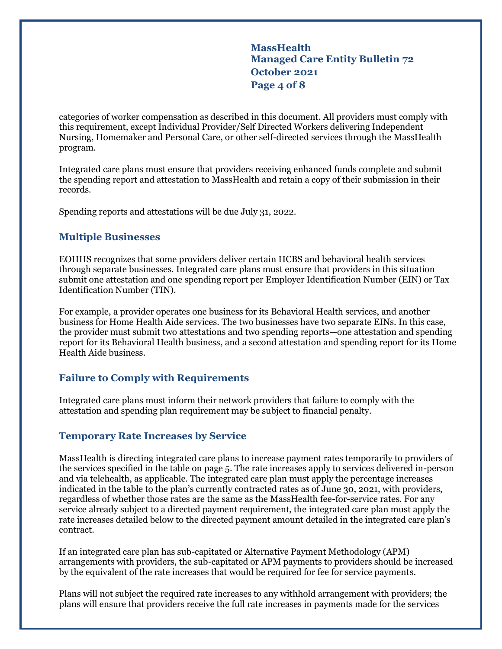**MassHealth Managed Care Entity Bulletin 72 October 2021 Page 4 of 8**

categories of worker compensation as described in this document. All providers must comply with this requirement, except Individual Provider/Self Directed Workers delivering Independent Nursing, Homemaker and Personal Care, or other self-directed services through the MassHealth program.

Integrated care plans must ensure that providers receiving enhanced funds complete and submit the spending report and attestation to MassHealth and retain a copy of their submission in their records.

Spending reports and attestations will be due July 31, 2022.

### **Multiple Businesses**

EOHHS recognizes that some providers deliver certain HCBS and behavioral health services through separate businesses. Integrated care plans must ensure that providers in this situation submit one attestation and one spending report per Employer Identification Number (EIN) or Tax Identification Number (TIN).

For example, a provider operates one business for its Behavioral Health services, and another business for Home Health Aide services. The two businesses have two separate EINs. In this case, the provider must submit two attestations and two spending reports—one attestation and spending report for its Behavioral Health business, and a second attestation and spending report for its Home Health Aide business.

## **Failure to Comply with Requirements**

Integrated care plans must inform their network providers that failure to comply with the attestation and spending plan requirement may be subject to financial penalty.

#### **Temporary Rate Increases by Service**

MassHealth is directing integrated care plans to increase payment rates temporarily to providers of the services specified in the table on page 5. The rate increases apply to services delivered in-person and via telehealth, as applicable. The integrated care plan must apply the percentage increases indicated in the table to the plan's currently contracted rates as of June 30, 2021, with providers, regardless of whether those rates are the same as the MassHealth fee-for-service rates. For any service already subject to a directed payment requirement, the integrated care plan must apply the rate increases detailed below to the directed payment amount detailed in the integrated care plan's contract.

If an integrated care plan has sub-capitated or Alternative Payment Methodology (APM) arrangements with providers, the sub-capitated or APM payments to providers should be increased by the equivalent of the rate increases that would be required for fee for service payments.

Plans will not subject the required rate increases to any withhold arrangement with providers; the plans will ensure that providers receive the full rate increases in payments made for the services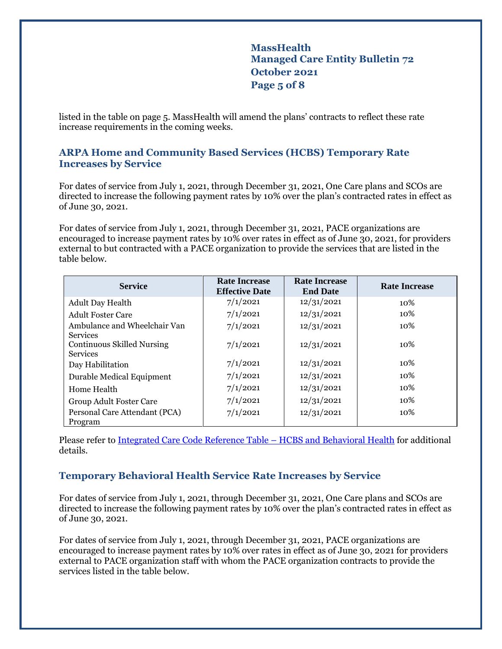# **MassHealth Managed Care Entity Bulletin 72 October 2021 Page 5 of 8**

listed in the table on page 5. MassHealth will amend the plans' contracts to reflect these rate increase requirements in the coming weeks.

## **ARPA Home and Community Based Services (HCBS) Temporary Rate Increases by Service**

For dates of service from July 1, 2021, through December 31, 2021, One Care plans and SCOs are directed to increase the following payment rates by 10% over the plan's contracted rates in effect as of June 30, 2021.

For dates of service from July 1, 2021, through December 31, 2021, PACE organizations are encouraged to increase payment rates by 10% over rates in effect as of June 30, 2021, for providers external to but contracted with a PACE organization to provide the services that are listed in the table below.

| <b>Service</b>                                                          | <b>Rate Increase</b><br><b>Effective Date</b> | <b>Rate Increase</b><br><b>End Date</b> | <b>Rate Increase</b> |
|-------------------------------------------------------------------------|-----------------------------------------------|-----------------------------------------|----------------------|
| <b>Adult Day Health</b>                                                 | 7/1/2021                                      | 12/31/2021                              | 10\%                 |
| <b>Adult Foster Care</b>                                                | 7/1/2021                                      | 12/31/2021                              | 10%                  |
| Ambulance and Wheelchair Van                                            | 7/1/2021                                      | 12/31/2021                              | 10\%                 |
| <b>Services</b><br><b>Continuous Skilled Nursing</b><br><b>Services</b> | 7/1/2021                                      | 12/31/2021                              | 10%                  |
| Day Habilitation                                                        | 7/1/2021                                      | 12/31/2021                              | 10%                  |
| Durable Medical Equipment                                               | 7/1/2021                                      | 12/31/2021                              | 10%                  |
| Home Health                                                             | 7/1/2021                                      | 12/31/2021                              | 10%                  |
| Group Adult Foster Care                                                 | 7/1/2021                                      | 12/31/2021                              | 10%                  |
| Personal Care Attendant (PCA)<br>Program                                | 7/1/2021                                      | 12/31/2021                              | 10%                  |

Please refer to [Integrated Care Code Reference Table](https://www.mass.gov/media/2392091/download) – HCBS and Behavioral Health for additional details.

## **Temporary Behavioral Health Service Rate Increases by Service**

For dates of service from July 1, 2021, through December 31, 2021, One Care plans and SCOs are directed to increase the following payment rates by 10% over the plan's contracted rates in effect as of June 30, 2021.

For dates of service from July 1, 2021, through December 31, 2021, PACE organizations are encouraged to increase payment rates by 10% over rates in effect as of June 30, 2021 for providers external to PACE organization staff with whom the PACE organization contracts to provide the services listed in the table below.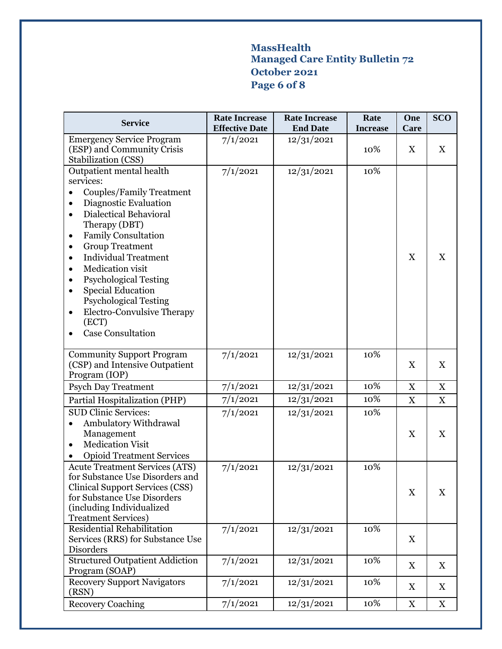# **MassHealth Managed Care Entity Bulletin 72 October 2021 Page 6 of 8**

| <b>Service</b>                                                                                                                                                                                                                                                                                                                                                                                                                                                 | <b>Rate Increase</b><br><b>Effective Date</b> | <b>Rate Increase</b><br><b>End Date</b> | Rate<br><b>Increase</b> | One<br>Care               | <b>SCO</b>                |
|----------------------------------------------------------------------------------------------------------------------------------------------------------------------------------------------------------------------------------------------------------------------------------------------------------------------------------------------------------------------------------------------------------------------------------------------------------------|-----------------------------------------------|-----------------------------------------|-------------------------|---------------------------|---------------------------|
| <b>Emergency Service Program</b><br>(ESP) and Community Crisis<br>Stabilization (CSS)                                                                                                                                                                                                                                                                                                                                                                          | 7/1/2021                                      | 12/31/2021                              | 10%                     | X                         | $\mathbf X$               |
| Outpatient mental health<br>services:<br><b>Couples/Family Treatment</b><br>Diagnostic Evaluation<br><b>Dialectical Behavioral</b><br>$\bullet$<br>Therapy (DBT)<br><b>Family Consultation</b><br><b>Group Treatment</b><br><b>Individual Treatment</b><br>Medication visit<br><b>Psychological Testing</b><br><b>Special Education</b><br><b>Psychological Testing</b><br><b>Electro-Convulsive Therapy</b><br>$\bullet$<br>(ECT)<br><b>Case Consultation</b> | 7/1/2021                                      | 12/31/2021                              | 10%                     | $\boldsymbol{\mathrm{X}}$ | $\boldsymbol{\mathrm{X}}$ |
| <b>Community Support Program</b><br>(CSP) and Intensive Outpatient<br>Program (IOP)                                                                                                                                                                                                                                                                                                                                                                            | 7/1/2021                                      | 12/31/2021                              | 10%                     | $\boldsymbol{\mathrm{X}}$ | X                         |
| <b>Psych Day Treatment</b>                                                                                                                                                                                                                                                                                                                                                                                                                                     | 7/1/2021                                      | 12/31/2021                              | 10%                     | $\mathbf X$               | $\mathbf X$               |
| Partial Hospitalization (PHP)                                                                                                                                                                                                                                                                                                                                                                                                                                  | 7/1/2021                                      | 12/31/2021                              | 10%                     | $\mathbf X$               | $\mathbf X$               |
| <b>SUD Clinic Services:</b><br>Ambulatory Withdrawal<br>Management<br><b>Medication Visit</b><br>$\bullet$<br><b>Opioid Treatment Services</b>                                                                                                                                                                                                                                                                                                                 | 7/1/2021                                      | 12/31/2021                              | 10%                     | $\boldsymbol{\mathrm{X}}$ | $\boldsymbol{\mathrm{X}}$ |
| <b>Acute Treatment Services (ATS)</b><br>for Substance Use Disorders and<br><b>Clinical Support Services (CSS)</b><br>for Substance Use Disorders<br>(including Individualized<br><b>Treatment Services)</b>                                                                                                                                                                                                                                                   | 7/1/2021                                      | 12/31/2021                              | 10%                     | $\mathbf X$               | $\boldsymbol{\mathrm{X}}$ |
| Residential Rehabilitation<br>Services (RRS) for Substance Use<br>Disorders                                                                                                                                                                                                                                                                                                                                                                                    | 7/1/2021                                      | 12/31/2021                              | 10%                     | X                         |                           |
| <b>Structured Outpatient Addiction</b><br>Program (SOAP)                                                                                                                                                                                                                                                                                                                                                                                                       | 7/1/2021                                      | 12/31/2021                              | 10%                     | X                         | X                         |
| <b>Recovery Support Navigators</b><br>(RSN)                                                                                                                                                                                                                                                                                                                                                                                                                    | 7/1/2021                                      | 12/31/2021                              | 10%                     | $\boldsymbol{\mathrm{X}}$ | $\boldsymbol{\mathrm{X}}$ |
| <b>Recovery Coaching</b>                                                                                                                                                                                                                                                                                                                                                                                                                                       | 7/1/2021                                      | 12/31/2021                              | 10%                     | $\mathbf X$               | X                         |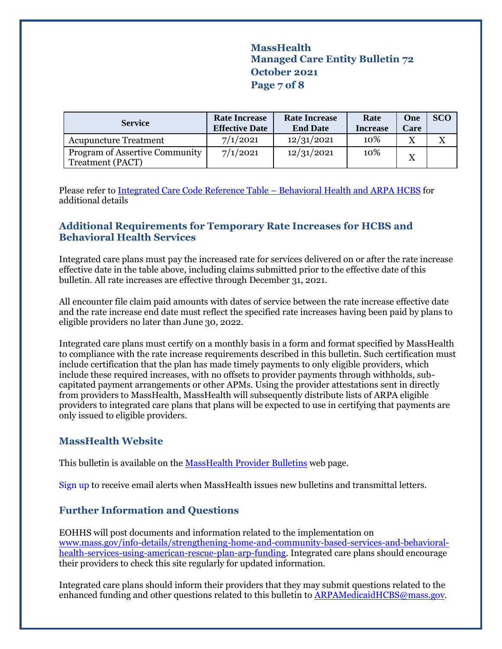**MassHealth Managed Care Entity Bulletin 72 October 2021 Page 7 of 8**

| <b>Service</b>                                                   | <b>Rate Increase</b><br><b>Effective Date</b> | <b>Rate Increase</b><br><b>End Date</b> | Rate<br><b>Increase</b> | One<br>Care | <b>SCO</b> |
|------------------------------------------------------------------|-----------------------------------------------|-----------------------------------------|-------------------------|-------------|------------|
| <b>Acupuncture Treatment</b>                                     | 7/1/2021                                      | 12/31/2021                              | 10%                     | X           |            |
| <b>Program of Assertive Community</b><br><b>Treatment (PACT)</b> | 7/1/2021                                      | 12/31/2021                              | 10%                     | X           |            |

Please refer t[o Integrated Care Code Reference Table](https://www.mass.gov/media/2392091/download) – Behavioral Health and ARPA HCBS for additional details

## **Additional Requirements for Temporary Rate Increases for HCBS and Behavioral Health Services**

Integrated care plans must pay the increased rate for services delivered on or after the rate increase effective date in the table above, including claims submitted prior to the effective date of this bulletin. All rate increases are effective through December 31, 2021.

All encounter file claim paid amounts with dates of service between the rate increase effective date and the rate increase end date must reflect the specified rate increases having been paid by plans to eligible providers no later than June 30, 2022.

Integrated care plans must certify on a monthly basis in a form and format specified by MassHealth to compliance with the rate increase requirements described in this bulletin. Such certification must include certification that the plan has made timely payments to only eligible providers, which include these required increases, with no offsets to provider payments through withholds, subcapitated payment arrangements or other APMs. Using the provider attestations sent in directly from providers to MassHealth, MassHealth will subsequently distribute lists of ARPA eligible providers to integrated care plans that plans will be expected to use in certifying that payments are only issued to eligible providers.

## **MassHealth Website**

This bulletin is available on th[e MassHealth Provider Bulletins](http://www.mass.gov/masshealth-provider-bulletins) web page.

Sign up to receive email alerts when MassHealth issues new bulletins and transmittal letters.

## **Further Information and Questions**

EOHHS will post documents and information related to the implementation on [www.mass.gov/info-details/strengthening-home-and-community-based-services-and-behavioral](http://www.mass.gov/info-details/strengthening-home-and-community-based-services-and-behavioral-health-services-using-american-rescue-plan-arp-funding)[health-services-using-american-rescue-plan-arp-funding.](http://www.mass.gov/info-details/strengthening-home-and-community-based-services-and-behavioral-health-services-using-american-rescue-plan-arp-funding) Integrated care plans should encourage their providers to check this site regularly for updated information.

Integrated care plans should inform their providers that they may submit questions related to the enhanced funding and other questions related to this bulletin to **ARPAMedicaidHCBS**@mass.gov.